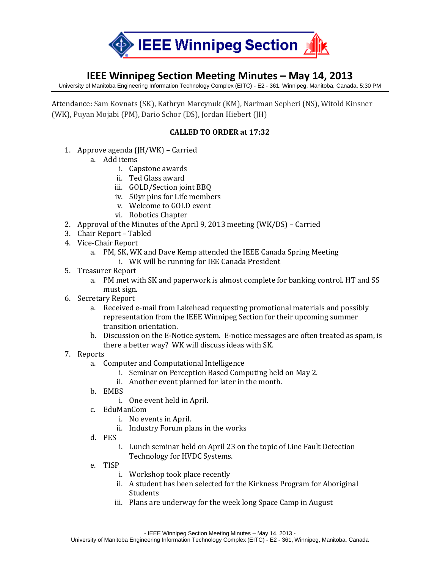

## **IEEE Winnipeg Section Meeting Minutes – May 14, 2013**

University of Manitoba Engineering Information Technology Complex (EITC) - E2 - 361, Winnipeg, Manitoba, Canada, 5:30 PM

Attendance: Sam Kovnats (SK), Kathryn Marcynuk (KM), Nariman Sepheri (NS), Witold Kinsner (WK), Puyan Mojabi (PM), Dario Schor (DS), Jordan Hiebert (JH)

## **CALLED TO ORDER at 17:32**

- 1. Approve agenda (JH/WK) Carried
	- a. Add items
		- i. Capstone awards
		- ii. Ted Glass award
		- iii. GOLD/Section joint BBQ
		- iv. 50yr pins for Life members
		- v. Welcome to GOLD event
		- vi. Robotics Chapter
- 2. Approval of the Minutes of the April 9, 2013 meeting (WK/DS) Carried
- 3. Chair Report Tabled
- 4. Vice-Chair Report
	- a. PM, SK, WK and Dave Kemp attended the IEEE Canada Spring Meeting
		- i. WK will be running for IEE Canada President
- 5. Treasurer Report
	- a. PM met with SK and paperwork is almost complete for banking control. HT and SS must sign.
- 6. Secretary Report
	- a. Received e-mail from Lakehead requesting promotional materials and possibly representation from the IEEE Winnipeg Section for their upcoming summer transition orientation.
	- b. Discussion on the E-Notice system. E-notice messages are often treated as spam, is there a better way? WK will discuss ideas with SK.
- 7. Reports
	- a. Computer and Computational Intelligence
		- i. Seminar on Perception Based Computing held on May 2.
		- ii. Another event planned for later in the month.
	- b. EMBS
		- i. One event held in April.
	- c. EduManCom
		- i. No events in April.
		- ii. Industry Forum plans in the works
	- d. PES
		- i. Lunch seminar held on April 23 on the topic of Line Fault Detection Technology for HVDC Systems.
	- e. TISP
		- i. Workshop took place recently
		- ii. A student has been selected for the Kirkness Program for Aboriginal Students
		- iii. Plans are underway for the week long Space Camp in August